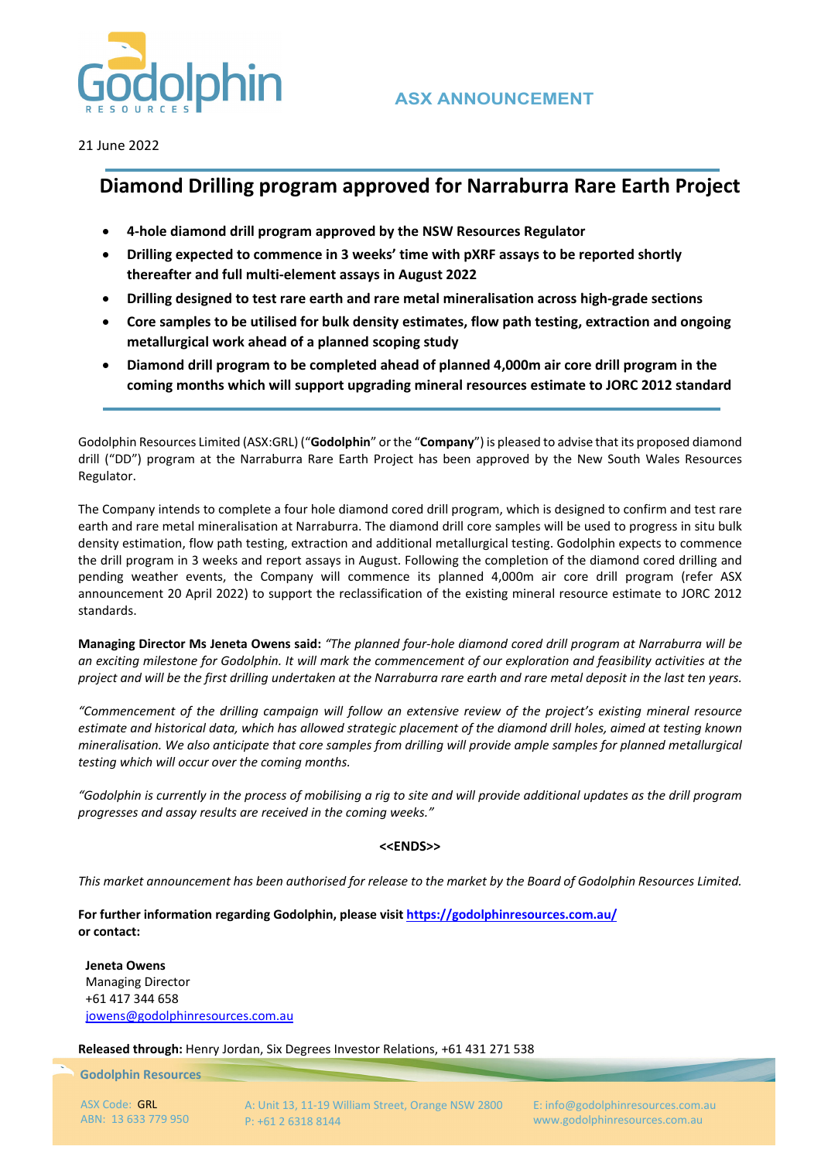

21 June 2022

## **Diamond Drilling program approved for Narraburra Rare Earth Project**

- **4‐hole diamond drill program approved by the NSW Resources Regulator**
- **Drilling expected to commence in 3 weeks' time with pXRF assays to be reported shortly thereafter and full multi‐element assays in August 2022**
- **Drilling designed to test rare earth and rare metal mineralisation across high‐grade sections**
- **Core samples to be utilised for bulk density estimates, flow path testing, extraction and ongoing metallurgical work ahead of a planned scoping study**
- **Diamond drill program to be completed ahead of planned 4,000m air core drill program in the coming months which will support upgrading mineral resources estimate to JORC 2012 standard**

Godolphin Resources Limited (ASX:GRL) ("**Godolphin**" orthe "**Company**") is pleased to advise that its proposed diamond drill ("DD") program at the Narraburra Rare Earth Project has been approved by the New South Wales Resources Regulator.

The Company intends to complete a four hole diamond cored drill program, which is designed to confirm and test rare earth and rare metal mineralisation at Narraburra. The diamond drill core samples will be used to progress in situ bulk density estimation, flow path testing, extraction and additional metallurgical testing. Godolphin expects to commence the drill program in 3 weeks and report assays in August. Following the completion of the diamond cored drilling and pending weather events, the Company will commence its planned 4,000m air core drill program (refer ASX announcement 20 April 2022) to support the reclassification of the existing mineral resource estimate to JORC 2012 standards.

Managing Director Ms Jeneta Owens said: "The planned four-hole diamond cored drill program at Narraburra will be an exciting milestone for Godolphin. It will mark the commencement of our exploration and feasibility activities at the project and will be the first drilling undertaken at the Narraburra rare earth and rare metal deposit in the last ten years.

"Commencement of the drilling campaign will follow an extensive review of the project's existing mineral resource estimate and historical data, which has allowed strategic placement of the diamond drill holes, aimed at testing known mineralisation. We also anticipate that core samples from drilling will provide ample samples for planned metallurgical *testing which will occur over the coming months.* 

"Godolphin is currently in the process of mobilising a rig to site and will provide additional updates as the drill program *progresses and assay results are received in the coming weeks."* 

## **<<ENDS>>**

This market announcement has been authorised for release to the market by the Board of Godolphin Resources Limited.

**For further information regarding Godolphin, please visit https://godolphinresources.com.au/ or contact:**

**Jeneta Owens** Managing Director +61 417 344 658 jowens@godolphinresources.com.au

**Released through:** Henry Jordan, Six Degrees Investor Relations, +61 431 271 538

**Godolphin Resources**

ASX Code: GRL ABN: 13 633 779 950 A: Unit 13, 11‐19 William Street, Orange NSW 2800 P: +61 2 6318 8144

E: info@godolphinresources.com.au www.godolphinresources.com.au